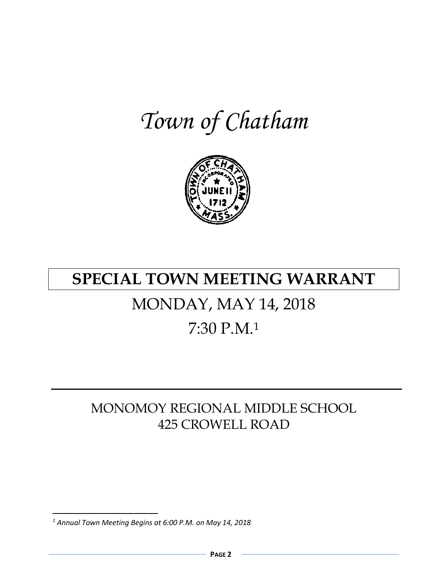# *Town of Chatham*



### **SPECIAL TOWN MEETING WARRANT**

## MONDAY, MAY 14, 2018 7:30 P.M.<sup>1</sup>

### MONOMOY REGIONAL MIDDLE SCHOOL 425 CROWELL ROAD

*<sup>1</sup> Annual Town Meeting Begins at 6:00 P.M. on May 14, 2018*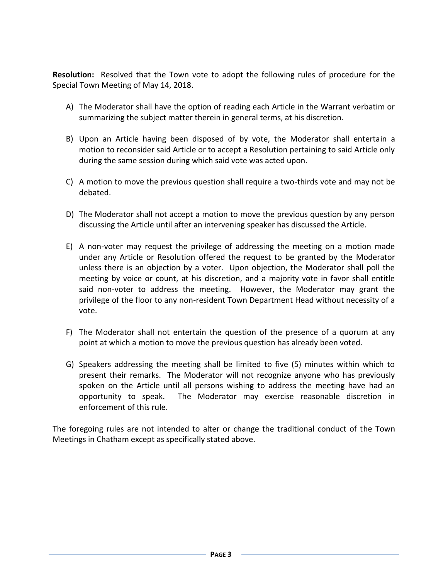**Resolution:** Resolved that the Town vote to adopt the following rules of procedure for the Special Town Meeting of May 14, 2018.

- A) The Moderator shall have the option of reading each Article in the Warrant verbatim or summarizing the subject matter therein in general terms, at his discretion.
- B) Upon an Article having been disposed of by vote, the Moderator shall entertain a motion to reconsider said Article or to accept a Resolution pertaining to said Article only during the same session during which said vote was acted upon.
- C) A motion to move the previous question shall require a two-thirds vote and may not be debated.
- D) The Moderator shall not accept a motion to move the previous question by any person discussing the Article until after an intervening speaker has discussed the Article.
- E) A non-voter may request the privilege of addressing the meeting on a motion made under any Article or Resolution offered the request to be granted by the Moderator unless there is an objection by a voter. Upon objection, the Moderator shall poll the meeting by voice or count, at his discretion, and a majority vote in favor shall entitle said non-voter to address the meeting. However, the Moderator may grant the privilege of the floor to any non-resident Town Department Head without necessity of a vote.
- F) The Moderator shall not entertain the question of the presence of a quorum at any point at which a motion to move the previous question has already been voted.
- G) Speakers addressing the meeting shall be limited to five (5) minutes within which to present their remarks. The Moderator will not recognize anyone who has previously spoken on the Article until all persons wishing to address the meeting have had an opportunity to speak. The Moderator may exercise reasonable discretion in enforcement of this rule.

The foregoing rules are not intended to alter or change the traditional conduct of the Town Meetings in Chatham except as specifically stated above.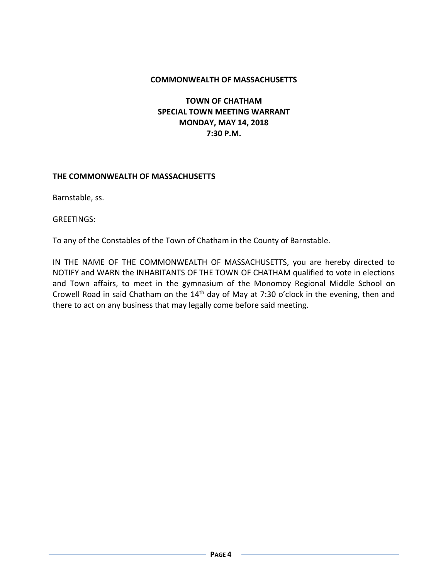#### **COMMONWEALTH OF MASSACHUSETTS**

#### **TOWN OF CHATHAM SPECIAL TOWN MEETING WARRANT MONDAY, MAY 14, 2018 7:30 P.M.**

#### **THE COMMONWEALTH OF MASSACHUSETTS**

Barnstable, ss.

GREETINGS:

To any of the Constables of the Town of Chatham in the County of Barnstable.

IN THE NAME OF THE COMMONWEALTH OF MASSACHUSETTS, you are hereby directed to NOTIFY and WARN the INHABITANTS OF THE TOWN OF CHATHAM qualified to vote in elections and Town affairs, to meet in the gymnasium of the Monomoy Regional Middle School on Crowell Road in said Chatham on the 14<sup>th</sup> day of May at 7:30 o'clock in the evening, then and there to act on any business that may legally come before said meeting.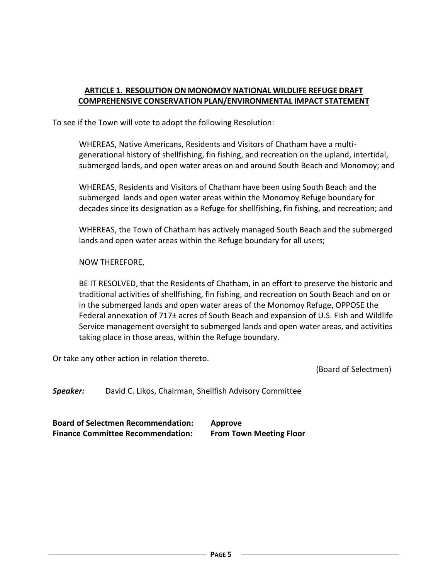#### **ARTICLE 1. RESOLUTION ON MONOMOY NATIONAL WILDLIFE REFUGE DRAFT COMPREHENSIVE CONSERVATION PLAN/ENVIRONMENTAL IMPACT STATEMENT**

To see if the Town will vote to adopt the following Resolution:

WHEREAS, Native Americans, Residents and Visitors of Chatham have a multigenerational history of shellfishing, fin fishing, and recreation on the upland, intertidal, submerged lands, and open water areas on and around South Beach and Monomoy; and

WHEREAS, Residents and Visitors of Chatham have been using South Beach and the submerged lands and open water areas within the Monomoy Refuge boundary for decades since its designation as a Refuge for shellfishing, fin fishing, and recreation; and

WHEREAS, the Town of Chatham has actively managed South Beach and the submerged lands and open water areas within the Refuge boundary for all users;

NOW THEREFORE,

BE IT RESOLVED, that the Residents of Chatham, in an effort to preserve the historic and traditional activities of shellfishing, fin fishing, and recreation on South Beach and on or in the submerged lands and open water areas of the Monomoy Refuge, OPPOSE the Federal annexation of 717± acres of South Beach and expansion of U.S. Fish and Wildlife Service management oversight to submerged lands and open water areas, and activities taking place in those areas, within the Refuge boundary.

Or take any other action in relation thereto.

(Board of Selectmen)

*Speaker:* David C. Likos, Chairman, Shellfish Advisory Committee

**Board of Selectmen Recommendation: Approve Finance Committee Recommendation: From Town Meeting Floor**